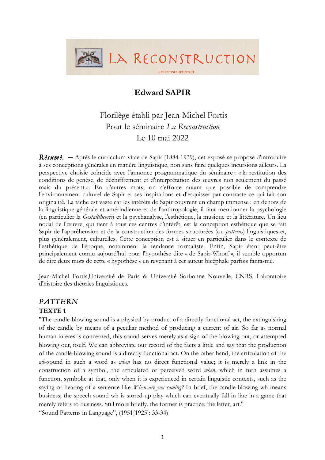

# **Edward SAPIR**

# Florilège établi par Jean-Michel Fortis Pour le séminaire *La Reconstruction* Le 10 mai 2022

*Résumé.* — Après le curriculum vitae de Sapir (1884-1939), cet exposé se propose d'introduire à ses conceptions générales en matière linguistique, non sans faire quelques incursions ailleurs. La perspective choisie coïncide avec l'annonce programmatique du séminaire : « la restitution des conditions de genèse, de déchiffrement et d'interprétation des œuvres non seulement du passé mais du présent ». En d'autres mots, on s'efforce autant que possible de comprendre l'environnement culturel de Sapir et ses inspirations et d'esquisser par contraste ce qui fait son originalité. La tâche est vaste car les intérêts de Sapir couvrent un champ immense : en dehors de la linguistique générale et amérindienne et de l'anthropologie, il faut mentionner la psychologie (en particulier la *Gestalttheorie*) et la psychanalyse, l'esthétique, la musique et la littérature. Un lieu nodal de l'œuvre, qui tient à tous ces centres d'intérêt, est la conception esthétique que se fait Sapir de l'appréhension et de la construction des formes structurées (ou *patterns*) linguistiques et, plus généralement, culturelles. Cette conception est à situer en particulier dans le contexte de l'esthétique de l'époque, notamment la tendance formaliste. Enfin, Sapir étant peut-être principalement connu aujourd'hui pour l'hypothèse dite « de Sapir-Whorf », il semble opportun de dire deux mots de cette « hypothèse » en revenant à cet auteur bicéphale parfois fantasmé.

Jean-Michel Fortis,Université de Paris & Université Sorbonne Nouvelle, CNRS, Laboratoire d'histoire des théories linguistiques.

# *PATTERN*

# **TEXTE 1**

"The candle-blowing sound is a physical by-product of a directly functional act, the extinguishing of the candle by means of a peculiar method of producing a current of air. So far as normal human interes is concerned, this sound serves merely as a sign of the blowing out, or attempted blowing out, itself. We can abbreviate our record of the facts a little and say that the production of the candle-blowing sound is a directly functional act. On the other hand, the articulation of the *wh*-sound in such a word as *when* has no direct functional value; it is merely a link in the construction of a symbol, the articulated or perceived word *when*, which in turn assumes a function, symbolic at that, only when it is experienced in certain linguistic contexts, such as the saying or hearing of a sentence like *When are you coming?* In brief, the candle-blowing wh means business; the speech sound wh is stored-up play which can eventually fall in line in a game that merely refers to business. Still more briefly, the former is practice; the latter, art."

"Sound Patterns in Language", (1951[1925]: 33-34)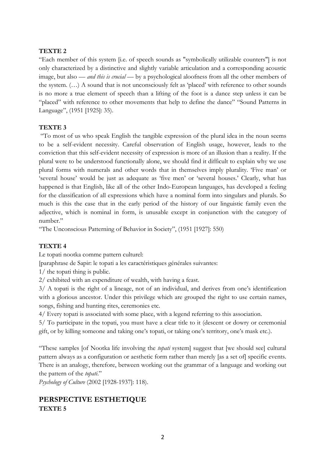# **TEXTE 2**

"Each member of this system [i.e. of speech sounds as "symbolically utilizable counters"] is not only characterized by a distinctive and slightly variable articulation and a corresponding acoustic image, but also — *and this is crucial* — by a psychological aloofness from all the other members of the system. (…) A sound that is not unconsciously felt as 'placed' with reference to other sounds is no more a true element of speech than a lifting of the foot is a dance step unless it can be "placed" with reference to other movements that help to define the dance" "Sound Patterns in Language", (1951 [1925]: 35).

### **TEXTE 3**

"To most of us who speak English the tangible expression of the plural idea in the noun seems to be a self-evident necessity. Careful observation of English usage, however, leads to the conviction that this self-evident necessity of expression is more of an illusion than a reality. If the plural were to be understood functionally alone, we should find it difficult to explain why we use plural forms with numerals and other words that in themselves imply plurality. 'Five man' or 'several house' would be just as adequate as 'five men' or 'several houses.' Clearly, what has happened is that English, like all of the other Indo-European languages, has developed a feeling for the classification of all expressions which have a nominal form into singulars and plurals. So much is this the case that in the early period of the history of our linguistic family even the adjective, which is nominal in form, is unusable except in conjunction with the category of number."

"The Unconscious Patterning of Behavior in Society", (1951 [1927]: 550)

# **TEXTE 4**

Le topati nootka comme pattern culturel:

[paraphrase de Sapir: le topati a les caractéristiques générales suivantes:

1/ the topati thing is public.

2/ exhibited with an expenditure of wealth, with having a feast.

3/ A topati is the right of a lineage, not of an individual, and derives from one's identification with a glorious ancestor. Under this privilege which are grouped the right to use certain names, songs, fishing and hunting rites, ceremonies etc.

4/ Every topati is associated with some place, with a legend referring to this association.

5/ To participate in the topati, you must have a clear title to it (descent or dowry or ceremonial gift, or by killing someone and taking one's topati, or taking one's territory, one's mask etc.).

"These samples [of Nootka life involving the *topati* system] suggest that [we should see] cultural pattern always as a configuration or aesthetic form rather than merely [as a set of] specific events. There is an analogy, therefore, between working out the grammar of a language and working out the pattern of the *topati*."

*Psychology of Culture* (2002 [1928-1937]: 118).

# **PERSPECTIVE ESTHETIQUE TEXTE 5**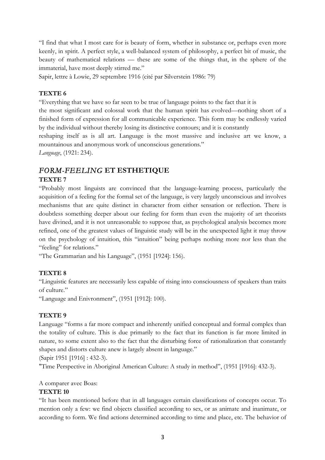"I find that what I most care for is beauty of form, whether in substance or, perhaps even more keenly, in spirit. A perfect style, a well-balanced system of philosophy, a perfect bit of music, the beauty of mathematical relations — these are some of the things that, in the sphere of the immaterial, have most deeply stirred me."

Sapir, lettre à Lowie, 29 septembre 1916 (cité par Silverstein 1986: 79)

## **TEXTE 6**

"Everything that we have so far seen to be true of language points to the fact that it is

the most significant and colossal work that the human spirit has evolved—nothing short of a finished form of expression for all communicable experience. This form may be endlessly varied by the individual without thereby losing its distinctive contours; and it is constantly

reshaping itself as is all art. Language is the most massive and inclusive art we know, a mountainous and anonymous work of unconscious generations."

*Language*, (1921: 234).

# *FORM-FEELING* **ET ESTHETIQUE**

### **TEXTE 7**

"Probably most linguists are convinced that the language-learning process, particularly the acquisition of a feeling for the formal set of the language, is very largely unconscious and involves mechanisms that are quite distinct in character from either sensation or reflection. There is doubtless something deeper about our feeling for form than even the majority of art theorists have divined, and it is not unreasonable to suppose that, as psychological analysis becomes more refined, one of the greatest values of linguistic study will be in the unexpected light it may throw on the psychology of intuition, this "intuition" being perhaps nothing more nor less than the "feeling" for relations."

"The Grammarian and his Language", (1951 [1924]: 156).

# **TEXTE 8**

"Linguistic features are necessarily less capable of rising into consciousness of speakers than traits of culture."

"Language and Enivronment", (1951 [1912]: 100).

#### **TEXTE 9**

Language "forms a far more compact and inherently unified conceptual and formal complex than the totality of culture. This is due primarily to the fact that its function is far more limited in nature, to some extent also to the fact that the disturbing force of rationalization that constantly shapes and distorts culture anew is largely absent in language."

(Sapir 1951 [1916] : 432-3).

"Time Perspective in Aboriginal American Culture: A study in method", (1951 [1916]: 432-3).

#### A comparer avec Boas:

#### **TEXTE 10**

"It has been mentioned before that in all languages certain classifications of concepts occur. To mention only a few: we find objects classified according to sex, or as animate and inanimate, or according to form. We find actions determined according to time and place, etc. The behavior of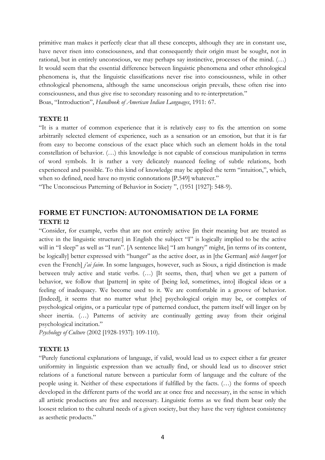primitive man makes it perfectly clear that all these concepts, although they are in constant use, have never risen into consciousness, and that consequently their origin must be sought, not in rational, but in entirely unconscious, we may perhaps say instinctive, processes of the mind. (…) It would seem that the essential difference between linguistic phenomena and other ethnological phenomena is, that the linguistic classifications never rise into consciousness, while in other ethnological phenomena, although the same unconscious origin prevails, these often rise into consciousness, and thus give rise to secondary reasoning and to re-interpretation."

Boas, "Introduction", *Handbook of American Indian Languages*, 1911:67.

### **TEXTE 11**

"It is a matter of common experience that it is relatively easy to fix the attention on some arbitrarily selected element of experience, such as a sensation or an emotion, but that it is far from easy to become conscious of the exact place which such an element holds in the total constellation of behavior. (…) this knowledge is not capable of conscious manipulation in terms of word symbols. It is rather a very delicately nuanced feeling of subtle relations, both experienced and possible. To this kind of knowledge may be applied the term "intuition,", which, when so defined, need have no mystic connotations [P.549] whatever."

"The Unconscious Patterning of Behavior in Society ", (1951 [1927]: 548-9).

# **FORME ET FUNCTION: AUTONOMISATION DE LA FORME TEXTE 12**

"Consider, for example, verbs that are not entirely active [in their meaning but are treated as active in the linguistic structure:] in English the subject "I" is logically implied to be the active will in "I sleep" as well as "I run". [A sentence like] "I am hungry" might, [in terms of its content, be logically] better expressed with "hunger" as the active doer, as in [the German] *mich hungert* [or even the French] *j'ai faim*. In some languages, however, such as Sioux, a rigid distinction is made between truly active and static verbs. (…) [It seems, then, that] when we get a pattern of behavior, we follow that [pattern] in spite of [being led, sometimes, into] illogical ideas or a feeling of inadequacy. We become used to it. We are comfortable in a groove of behavior. [Indeed], it seems that no matter what [the] psychological origin may be, or complex of psychological origins, or a particular type of patterned conduct, the pattern itself will linger on by sheer inertia. (…) Patterns of activity are continually getting away from their original psychological incitation."

*Psychology of Culture* (2002 [1928-1937]: 109-110).

#### **TEXTE 13**

"Purely functional explanations of language, if valid, would lead us to expect either a far greater uniformity in linguistic expression than we actually find, or should lead us to discover strict relations of a functional nature between a particular form of language and the culture of the people using it. Neither of these expectations if fulfilled by the facts. (…) the forms of speech developed in the different parts of the world are at once free and necessary, in the sense in which all artistic productions are free and necessary. Linguistic forms as we find them bear only the loosest relation to the cultural needs of a given society, but they have the very tightest consistency as aesthetic products."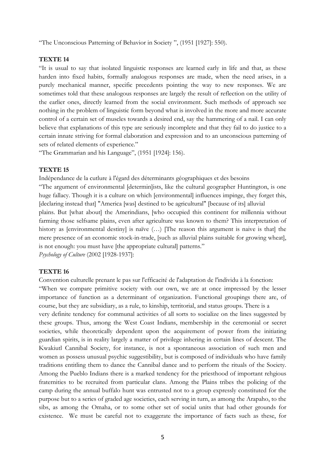"The Unconscious Patterning of Behavior in Society ", (1951 [1927]: 550).

#### **TEXTE 14**

"It is usual to say that isolated linguistic responses are learned early in life and that, as these harden into fixed habits, formally analogous responses are made, when the need arises, in a purely mechanical manner, specific precedents pointing the way to new responses. We are sometimes told that these analogous responses are largely the result of reflection on the utility of the earlier ones, directly learned from the social environment. Such methods of approach see nothing in the problem of linguistic form beyond what is involved in the more and more accurate control of a certain set of muscles towards a desired end, say the hammering of a nail. I can only believe that explanations of this type are seriously incomplete and that they fail to do justice to a certain innate striving for formal elaboration and expression and to an unconscious patterning of sets of related elements of experience."

"The Grammarian and his Language", (1951 [1924]: 156).

#### **TEXTE 15**

Indépendance de la cutlure à l'égard des déterminants géographiques et des besoins

"The argument of environmental [determin]ists, like the cultural geographer Huntington, is one huge fallacy. Though it is a culture on which [environmental] influences impinge, they forget this, [declaring instead that] "America [was] destined to be agricultural" [because of its] alluvial plains. But [what about] the Amerindians, [who occupied this continent for millennia without farming those selfsame plains, even after agriculture was known to them? This interpretation of history as [environmental destiny] is naïve (...) [The reason this argument is naïve is that] the mere presence of an economic stock-in-trade, [such as alluvial plains suitable for growing wheat], is not enough: you must have [the appropriate cultural] patterns."

*Psychology of Culture* (2002 [1928-1937]:

#### **TEXTE 16**

Convention culturelle prenant le pas sur l'efficacité de l'adaptation de l'individu à la fonction:

"When we compare primitive society with our own, we are at once impressed by the lesser importance of function as a determinant of organization. Functional groupings there are, of course, but they are subsidiary, as a rule, to kinship, territorial, and status groups. There is a

very definite tendency for communal activities of all sorts to socialize on the lines suggested by these groups. Thus, among the West Coast Indians, membership in the ceremonial or secret societies, while theoretically dependent upon the acquirement of power from the initiating guardian spirits, is in reality largely a matter of privilege inhering in certain lines of descent. The Kwakiutl Cannibal Society, for instance, is not a spontaneous association of such men and women as possess unusual psychic suggestibility, but is composed of individuals who have family traditions entitling them to dance the Cannibal dance and to perform the rituals of the Society. Among the Pueblo Indians there is a marked tendency for the priesthood of important rehgious fraternities to be recruited from particular clans. Among the Plains tribes the policing of the camp during the annual buffalo hunt was entrusted not to a group expressly constituted for the purpose but to a series of graded age societies, each serving in turn, as among the Arapaho, to the sibs, as among the Omaha, or to some other set of social units that had other grounds for existence. We must be careful not to exaggerate the importance of facts such as these, for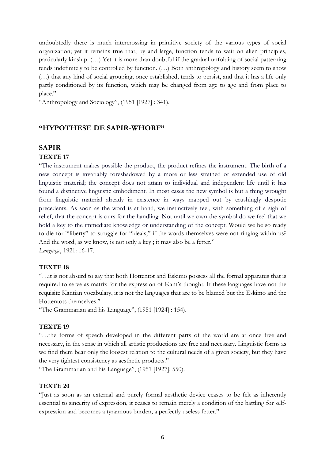undoubtedly there is much intercrossing in primitive society of the various types of social organization; yet it remains true that, by and large, function tends to wait on alien principles, particularly kinship. (…) Yet it is more than doubtful if the gradual unfolding of social patterning tends indefinitely to be controlled by function. (…) Both anthropology and history seem to show (…) that any kind of social grouping, once established, tends to persist, and that it has a life only partly conditioned by its function, which may be changed from age to age and from place to place."

"Anthropology and Sociology",  $(1951 \mid 1927] : 341$ ).

# **"HYPOTHESE DE SAPIR-WHORF"**

### **SAPIR**

#### **TEXTE 17**

"The instrument makes possible the product, the product refines the instrument. The birth of a new concept is invariably foreshadowed by a more or less strained or extended use of old linguistic material; the concept does not attain to individual and independent life until it has found a distinctive linguistic embodiment. In most cases the new symbol is but a thing wrought from linguistic material already in existence in ways mapped out by crushingly despotic precedents. As soon as the word is at hand, we instinctively feel, with something of a sigh of relief, that the concept is ours for the handling. Not until we own the symbol do we feel that we hold a key to the immediate knowledge or understanding of the concept. Would we be so ready to die for '"liberty" to struggle for "ideals," if the words themselves were not ringing within us? And the word, as we know, is not only a key ; it may also be a fetter." *Language*, 1921: 16-17.

#### **TEXTE 18**

"…it is not absurd to say that both Hottentot and Eskimo possess all the formal apparatus that is required to serve as matrix for the expression of Kant's thought. If these languages have not the requisite Kantian vocabulary, it is not the languages that are to be blamed but the Eskimo and the Hottentots themselves."

"The Grammarian and his Language", (1951 [1924] : 154).

#### **TEXTE 19**

"…the forms of speech developed in the different parts of the world are at once free and necessary, in the sense in which all artistic productions are free and necessary. Linguistic forms as we find them bear only the loosest relation to the cultural needs of a given society, but they have the very tightest consistency as aesthetic products."

"The Grammarian and his Language", (1951 [1927]: 550).

#### **TEXTE 20**

"Just as soon as an external and purely formal aesthetic device ceases to be felt as inherently essential to sincerity of expression, it ceases to remain merely a condition of the battling for selfexpression and becomes a tyrannous burden, a perfectly useless fetter."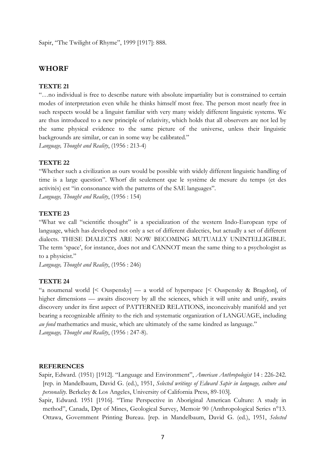Sapir, "The Twilight of Rhyme", 1999 [1917]: 888.

# **WHORF**

#### **TEXTE 21**

"…no individual is free to describe nature with absolute impartiality but is constrained to certain modes of interpretation even while he thinks himself most free. The person most nearly free in such respects would be a linguist familiar with very many widely different linguistic systems. We are thus introduced to a new principle of relativity, which holds that all observers are not led by the same physical evidence to the same picture of the universe, unless their linguistic backgrounds are similar, or can in some way be calibrated."

*Language, Thought and Reality*, (1956 : 213-4)

#### **TEXTE 22**

"Whether such a civilization as ours would be possible with widely different linguistic handling of time is a large question". Whorf dit seulement que le système de mesure du temps (et des activités) est "in consonance with the patterns of the SAE languages". *Language, Thought and Reality*, (1956 : 154)

#### **TEXTE 23**

"What we call "scientific thought" is a specialization of the western Indo-European type of language, which has developed not only a set of different dialectics, but actually a set of different dialects. THESE DIALECTS ARE NOW BECOMING MUTUALLY UNINTELLIGIBLE. The term 'space', for instance, does not and CANNOT mean the same thing to a psychologist as to a physicist."

*Language, Thought and Reality*, (1956 : 246)

#### **TEXTE 24**

"a noumenal world [< Ouspensky] — a world of hyperspace [< Ouspensky & Bragdon], of higher dimensions — awaits discovery by all the sciences, which it will unite and unify, awaits discovery under its first aspect of PATTERNED RELATIONS, inconceivably manifold and yet bearing a recognizable affinity to the rich and systematic organization of LANGUAGE, including *au fond* mathematics and music, which are ultimately of the same kindred as language." *Language, Thought and Reality*, (1956 : 247-8).

#### **REFERENCES**

- Sapir, Edward. (1951) [1912]. "Language and Environment", *American Anthropologist* 14 : 226-242. [rep. in Mandelbaum, David G. (ed.), 1951, *Selected writings of Edward Sapir in language, culture and personality*. Berkeley & Los Angeles, University of California Press, 89-103].
- Sapir, Edward. 1951 [1916]. "Time Perspective in Aboriginal American Culture: A study in method", Canada, Dpt of Mines, Geological Survey, Memoir 90 (Anthropological Series n°13. Ottawa, Government Printing Bureau. [rep. in Mandelbaum, David G. (ed.), 1951, *Selected*